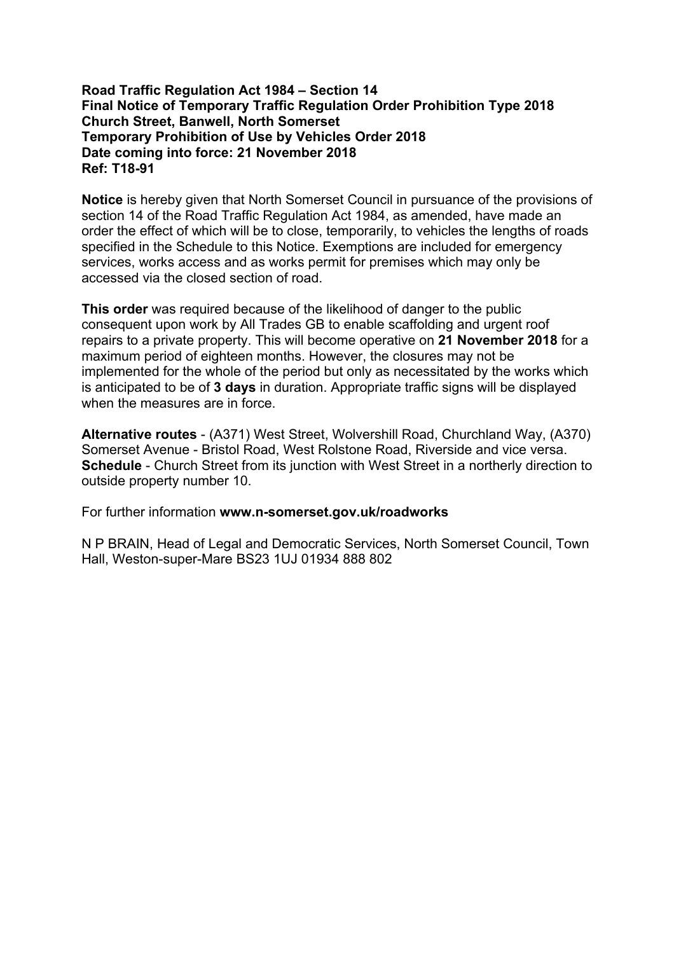## **Road Traffic Regulation Act 1984 – Section 14 Final Notice of Temporary Traffic Regulation Order Prohibition Type 2018 Church Street, Banwell, North Somerset Temporary Prohibition of Use by Vehicles Order 2018 Date coming into force: 21 November 2018 Ref: T18-91**

**Notice** is hereby given that North Somerset Council in pursuance of the provisions of section 14 of the Road Traffic Regulation Act 1984, as amended, have made an order the effect of which will be to close, temporarily, to vehicles the lengths of roads specified in the Schedule to this Notice. Exemptions are included for emergency services, works access and as works permit for premises which may only be accessed via the closed section of road.

**This order** was required because of the likelihood of danger to the public consequent upon work by All Trades GB to enable scaffolding and urgent roof repairs to a private property. This will become operative on **21 November 2018** for a maximum period of eighteen months. However, the closures may not be implemented for the whole of the period but only as necessitated by the works which is anticipated to be of **3 days** in duration. Appropriate traffic signs will be displayed when the measures are in force.

**Alternative routes** - (A371) West Street, Wolvershill Road, Churchland Way, (A370) Somerset Avenue - Bristol Road, West Rolstone Road, Riverside and vice versa. **Schedule** - Church Street from its junction with West Street in a northerly direction to outside property number 10.

For further information **www.n-somerset.gov.uk/roadworks**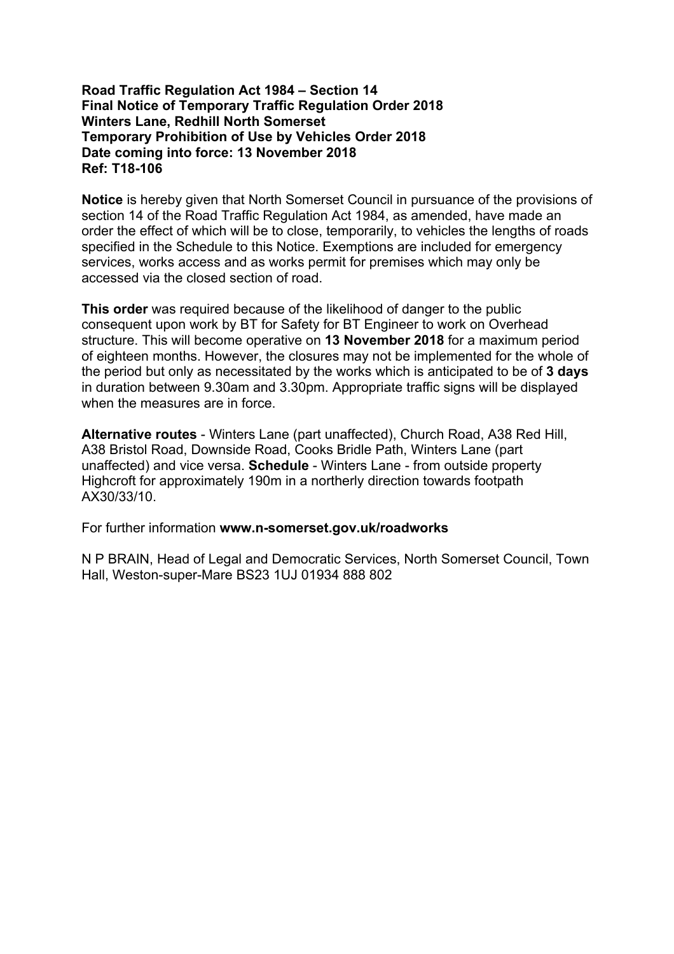## **Road Traffic Regulation Act 1984 – Section 14 Final Notice of Temporary Traffic Regulation Order 2018 Winters Lane, Redhill North Somerset Temporary Prohibition of Use by Vehicles Order 2018 Date coming into force: 13 November 2018 Ref: T18-106**

**Notice** is hereby given that North Somerset Council in pursuance of the provisions of section 14 of the Road Traffic Regulation Act 1984, as amended, have made an order the effect of which will be to close, temporarily, to vehicles the lengths of roads specified in the Schedule to this Notice. Exemptions are included for emergency services, works access and as works permit for premises which may only be accessed via the closed section of road.

**This order** was required because of the likelihood of danger to the public consequent upon work by BT for Safety for BT Engineer to work on Overhead structure. This will become operative on **13 November 2018** for a maximum period of eighteen months. However, the closures may not be implemented for the whole of the period but only as necessitated by the works which is anticipated to be of **3 days** in duration between 9.30am and 3.30pm. Appropriate traffic signs will be displayed when the measures are in force.

**Alternative routes** - Winters Lane (part unaffected), Church Road, A38 Red Hill, A38 Bristol Road, Downside Road, Cooks Bridle Path, Winters Lane (part unaffected) and vice versa. **Schedule** - Winters Lane - from outside property Highcroft for approximately 190m in a northerly direction towards footpath AX30/33/10.

For further information **www.n-somerset.gov.uk/roadworks**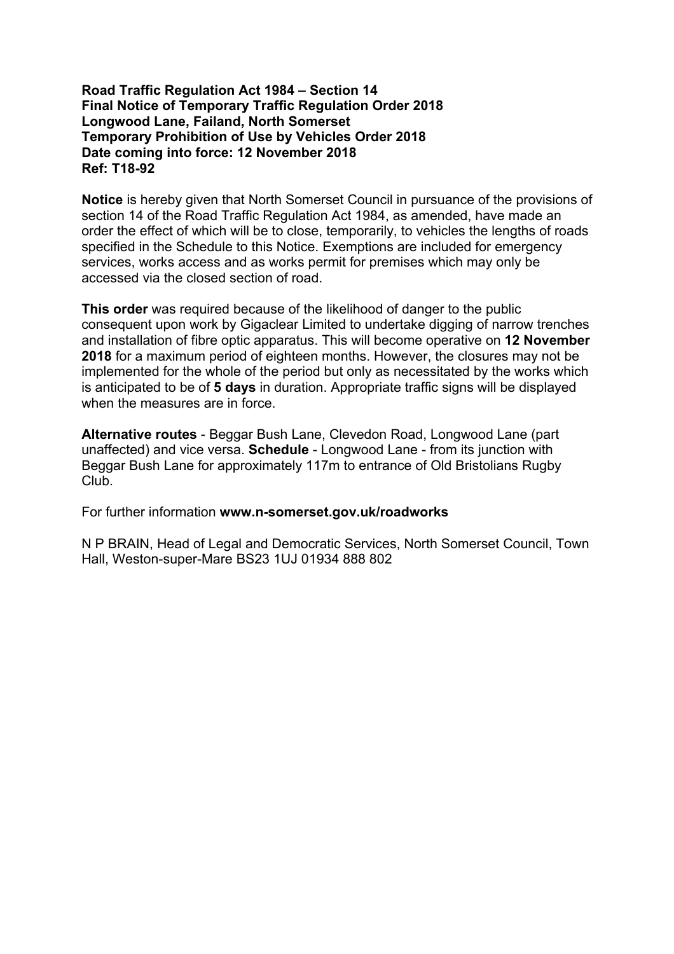## **Road Traffic Regulation Act 1984 – Section 14 Final Notice of Temporary Traffic Regulation Order 2018 Longwood Lane, Failand, North Somerset Temporary Prohibition of Use by Vehicles Order 2018 Date coming into force: 12 November 2018 Ref: T18-92**

**Notice** is hereby given that North Somerset Council in pursuance of the provisions of section 14 of the Road Traffic Regulation Act 1984, as amended, have made an order the effect of which will be to close, temporarily, to vehicles the lengths of roads specified in the Schedule to this Notice. Exemptions are included for emergency services, works access and as works permit for premises which may only be accessed via the closed section of road.

**This order** was required because of the likelihood of danger to the public consequent upon work by Gigaclear Limited to undertake digging of narrow trenches and installation of fibre optic apparatus. This will become operative on **12 November 2018** for a maximum period of eighteen months. However, the closures may not be implemented for the whole of the period but only as necessitated by the works which is anticipated to be of **5 days** in duration. Appropriate traffic signs will be displayed when the measures are in force.

**Alternative routes** - Beggar Bush Lane, Clevedon Road, Longwood Lane (part unaffected) and vice versa. **Schedule** - Longwood Lane - from its junction with Beggar Bush Lane for approximately 117m to entrance of Old Bristolians Rugby Club.

For further information **www.n-somerset.gov.uk/roadworks**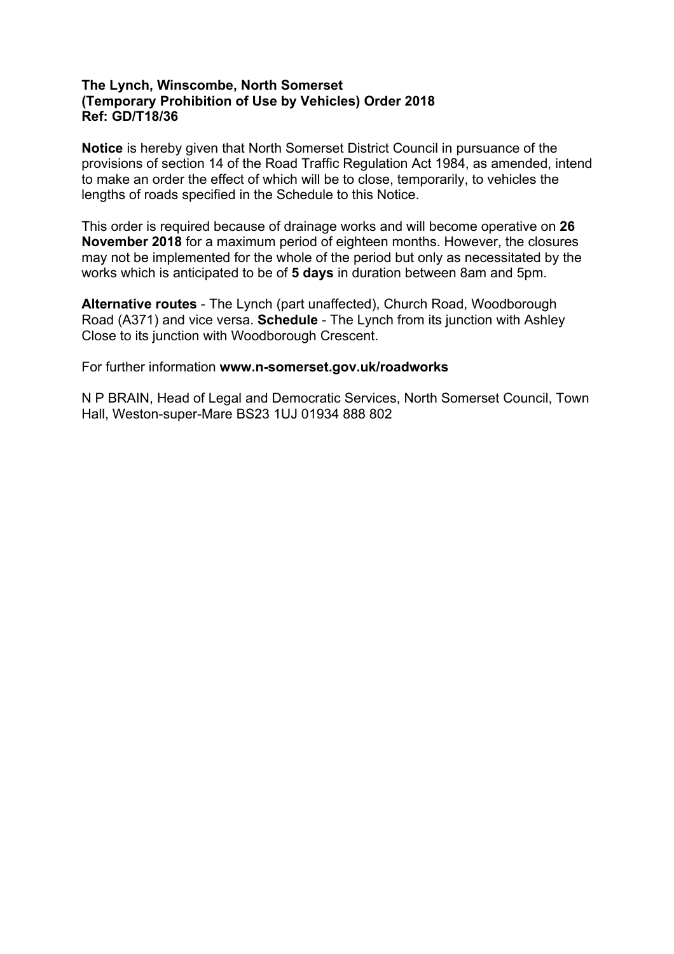# **The Lynch, Winscombe, North Somerset (Temporary Prohibition of Use by Vehicles) Order 2018 Ref: GD/T18/36**

**Notice** is hereby given that North Somerset District Council in pursuance of the provisions of section 14 of the Road Traffic Regulation Act 1984, as amended, intend to make an order the effect of which will be to close, temporarily, to vehicles the lengths of roads specified in the Schedule to this Notice.

This order is required because of drainage works and will become operative on **26 November 2018** for a maximum period of eighteen months. However, the closures may not be implemented for the whole of the period but only as necessitated by the works which is anticipated to be of **5 days** in duration between 8am and 5pm.

**Alternative routes** - The Lynch (part unaffected), Church Road, Woodborough Road (A371) and vice versa. **Schedule** - The Lynch from its junction with Ashley Close to its junction with Woodborough Crescent.

For further information **www.n-somerset.gov.uk/roadworks**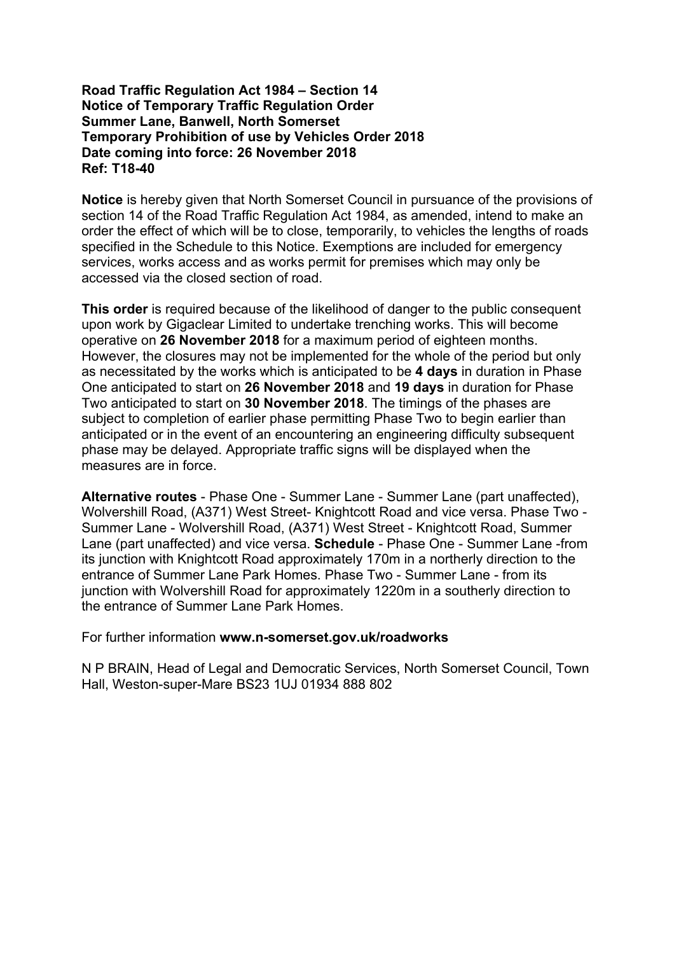## **Road Traffic Regulation Act 1984 – Section 14 Notice of Temporary Traffic Regulation Order Summer Lane, Banwell, North Somerset Temporary Prohibition of use by Vehicles Order 2018 Date coming into force: 26 November 2018 Ref: T18-40**

**Notice** is hereby given that North Somerset Council in pursuance of the provisions of section 14 of the Road Traffic Regulation Act 1984, as amended, intend to make an order the effect of which will be to close, temporarily, to vehicles the lengths of roads specified in the Schedule to this Notice. Exemptions are included for emergency services, works access and as works permit for premises which may only be accessed via the closed section of road.

**This order** is required because of the likelihood of danger to the public consequent upon work by Gigaclear Limited to undertake trenching works. This will become operative on **26 November 2018** for a maximum period of eighteen months. However, the closures may not be implemented for the whole of the period but only as necessitated by the works which is anticipated to be **4 days** in duration in Phase One anticipated to start on **26 November 2018** and **19 days** in duration for Phase Two anticipated to start on **30 November 2018**. The timings of the phases are subject to completion of earlier phase permitting Phase Two to begin earlier than anticipated or in the event of an encountering an engineering difficulty subsequent phase may be delayed. Appropriate traffic signs will be displayed when the measures are in force.

**Alternative routes** - Phase One - Summer Lane - Summer Lane (part unaffected), Wolvershill Road, (A371) West Street- Knightcott Road and vice versa. Phase Two - Summer Lane - Wolvershill Road, (A371) West Street - Knightcott Road, Summer Lane (part unaffected) and vice versa. **Schedule** - Phase One - Summer Lane -from its junction with Knightcott Road approximately 170m in a northerly direction to the entrance of Summer Lane Park Homes. Phase Two - Summer Lane - from its junction with Wolvershill Road for approximately 1220m in a southerly direction to the entrance of Summer Lane Park Homes.

For further information **www.n-somerset.gov.uk/roadworks**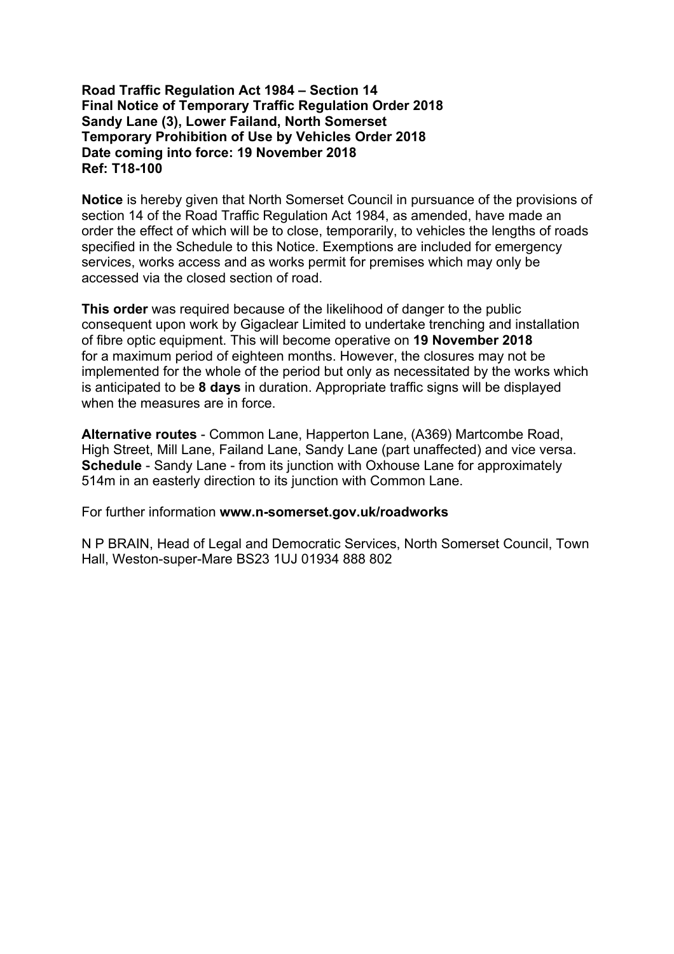## **Road Traffic Regulation Act 1984 – Section 14 Final Notice of Temporary Traffic Regulation Order 2018 Sandy Lane (3), Lower Failand, North Somerset Temporary Prohibition of Use by Vehicles Order 2018 Date coming into force: 19 November 2018 Ref: T18-100**

**Notice** is hereby given that North Somerset Council in pursuance of the provisions of section 14 of the Road Traffic Regulation Act 1984, as amended, have made an order the effect of which will be to close, temporarily, to vehicles the lengths of roads specified in the Schedule to this Notice. Exemptions are included for emergency services, works access and as works permit for premises which may only be accessed via the closed section of road.

**This order** was required because of the likelihood of danger to the public consequent upon work by Gigaclear Limited to undertake trenching and installation of fibre optic equipment. This will become operative on **19 November 2018** for a maximum period of eighteen months. However, the closures may not be implemented for the whole of the period but only as necessitated by the works which is anticipated to be **8 days** in duration. Appropriate traffic signs will be displayed when the measures are in force.

**Alternative routes** - Common Lane, Happerton Lane, (A369) Martcombe Road, High Street, Mill Lane, Failand Lane, Sandy Lane (part unaffected) and vice versa. **Schedule** - Sandy Lane - from its junction with Oxhouse Lane for approximately 514m in an easterly direction to its junction with Common Lane.

For further information **www.n-somerset.gov.uk/roadworks**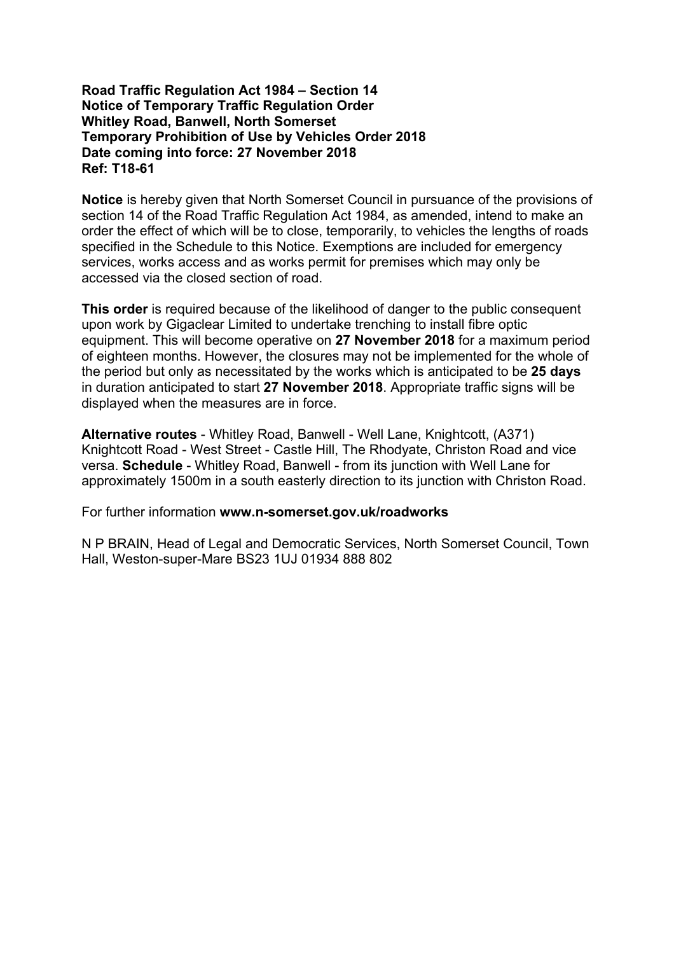## **Road Traffic Regulation Act 1984 – Section 14 Notice of Temporary Traffic Regulation Order Whitley Road, Banwell, North Somerset Temporary Prohibition of Use by Vehicles Order 2018 Date coming into force: 27 November 2018 Ref: T18-61**

**Notice** is hereby given that North Somerset Council in pursuance of the provisions of section 14 of the Road Traffic Regulation Act 1984, as amended, intend to make an order the effect of which will be to close, temporarily, to vehicles the lengths of roads specified in the Schedule to this Notice. Exemptions are included for emergency services, works access and as works permit for premises which may only be accessed via the closed section of road.

**This order** is required because of the likelihood of danger to the public consequent upon work by Gigaclear Limited to undertake trenching to install fibre optic equipment. This will become operative on **27 November 2018** for a maximum period of eighteen months. However, the closures may not be implemented for the whole of the period but only as necessitated by the works which is anticipated to be **25 days** in duration anticipated to start **27 November 2018**. Appropriate traffic signs will be displayed when the measures are in force.

**Alternative routes** - Whitley Road, Banwell - Well Lane, Knightcott, (A371) Knightcott Road - West Street - Castle Hill, The Rhodyate, Christon Road and vice versa. **Schedule** - Whitley Road, Banwell - from its junction with Well Lane for approximately 1500m in a south easterly direction to its junction with Christon Road.

For further information **www.n-somerset.gov.uk/roadworks**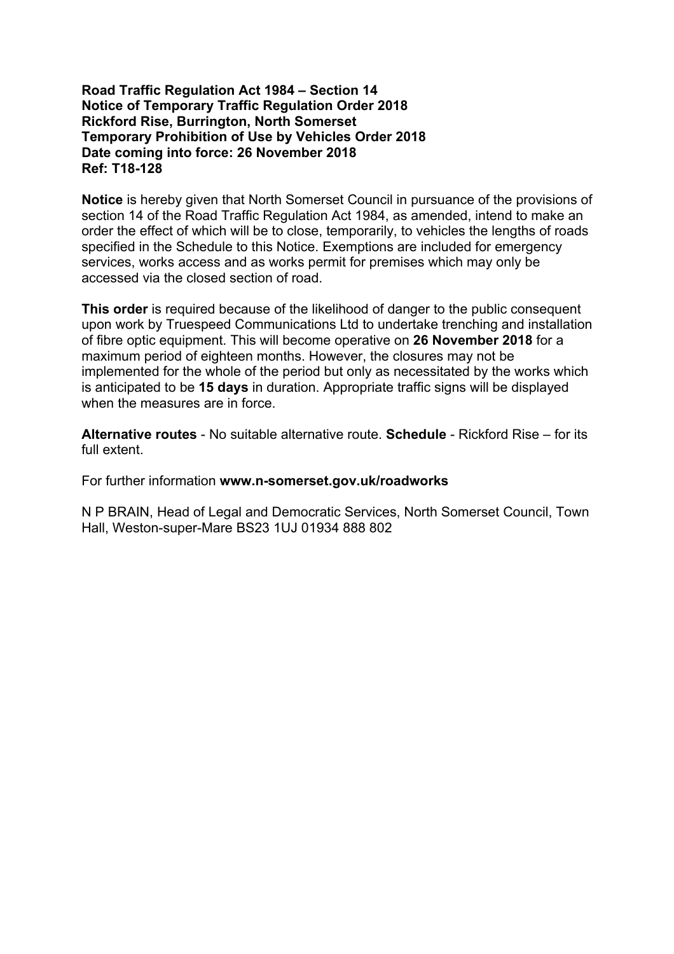## **Road Traffic Regulation Act 1984 – Section 14 Notice of Temporary Traffic Regulation Order 2018 Rickford Rise, Burrington, North Somerset Temporary Prohibition of Use by Vehicles Order 2018 Date coming into force: 26 November 2018 Ref: T18-128**

**Notice** is hereby given that North Somerset Council in pursuance of the provisions of section 14 of the Road Traffic Regulation Act 1984, as amended, intend to make an order the effect of which will be to close, temporarily, to vehicles the lengths of roads specified in the Schedule to this Notice. Exemptions are included for emergency services, works access and as works permit for premises which may only be accessed via the closed section of road.

**This order** is required because of the likelihood of danger to the public consequent upon work by Truespeed Communications Ltd to undertake trenching and installation of fibre optic equipment. This will become operative on **26 November 2018** for a maximum period of eighteen months. However, the closures may not be implemented for the whole of the period but only as necessitated by the works which is anticipated to be **15 days** in duration. Appropriate traffic signs will be displayed when the measures are in force.

**Alternative routes** - No suitable alternative route. **Schedule** - Rickford Rise – for its full extent.

For further information **www.n-somerset.gov.uk/roadworks**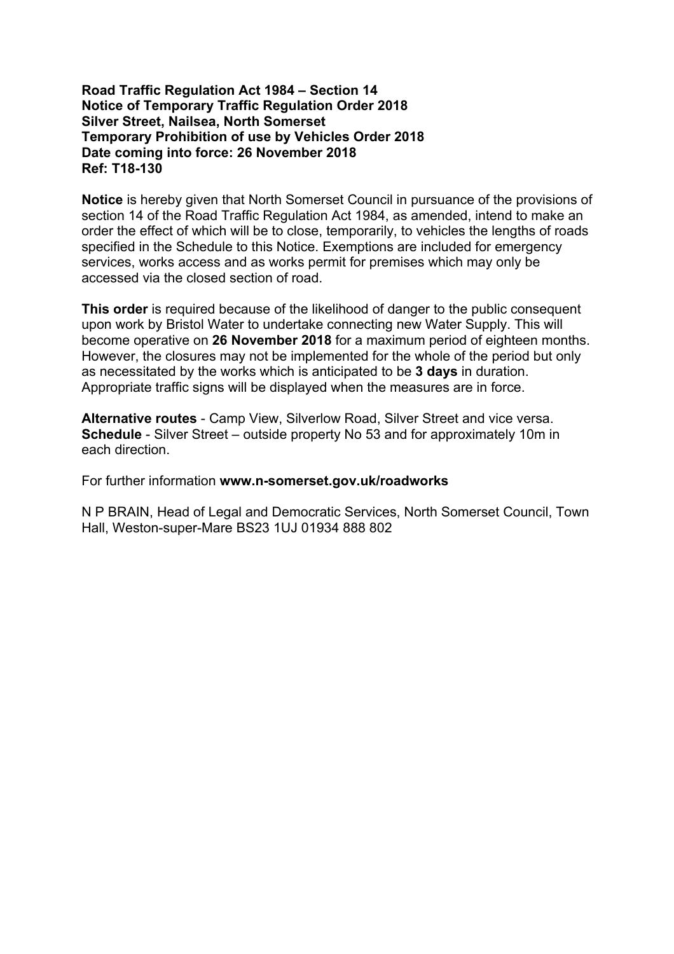## **Road Traffic Regulation Act 1984 – Section 14 Notice of Temporary Traffic Regulation Order 2018 Silver Street, Nailsea, North Somerset Temporary Prohibition of use by Vehicles Order 2018 Date coming into force: 26 November 2018 Ref: T18-130**

**Notice** is hereby given that North Somerset Council in pursuance of the provisions of section 14 of the Road Traffic Regulation Act 1984, as amended, intend to make an order the effect of which will be to close, temporarily, to vehicles the lengths of roads specified in the Schedule to this Notice. Exemptions are included for emergency services, works access and as works permit for premises which may only be accessed via the closed section of road.

**This order** is required because of the likelihood of danger to the public consequent upon work by Bristol Water to undertake connecting new Water Supply. This will become operative on **26 November 2018** for a maximum period of eighteen months. However, the closures may not be implemented for the whole of the period but only as necessitated by the works which is anticipated to be **3 days** in duration. Appropriate traffic signs will be displayed when the measures are in force.

**Alternative routes** - Camp View, Silverlow Road, Silver Street and vice versa. **Schedule** - Silver Street – outside property No 53 and for approximately 10m in each direction.

For further information **www.n-somerset.gov.uk/roadworks**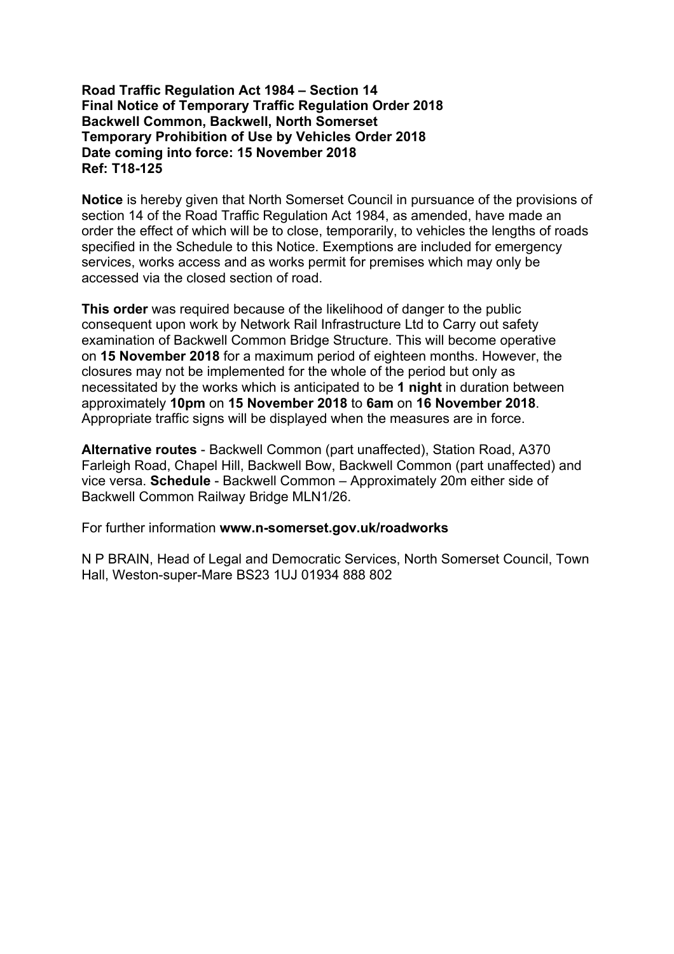# **Road Traffic Regulation Act 1984 – Section 14 Final Notice of Temporary Traffic Regulation Order 2018 Backwell Common, Backwell, North Somerset Temporary Prohibition of Use by Vehicles Order 2018 Date coming into force: 15 November 2018 Ref: T18-125**

**Notice** is hereby given that North Somerset Council in pursuance of the provisions of section 14 of the Road Traffic Regulation Act 1984, as amended, have made an order the effect of which will be to close, temporarily, to vehicles the lengths of roads specified in the Schedule to this Notice. Exemptions are included for emergency services, works access and as works permit for premises which may only be accessed via the closed section of road.

**This order** was required because of the likelihood of danger to the public consequent upon work by Network Rail Infrastructure Ltd to Carry out safety examination of Backwell Common Bridge Structure. This will become operative on **15 November 2018** for a maximum period of eighteen months. However, the closures may not be implemented for the whole of the period but only as necessitated by the works which is anticipated to be **1 night** in duration between approximately **10pm** on **15 November 2018** to **6am** on **16 November 2018**. Appropriate traffic signs will be displayed when the measures are in force.

**Alternative routes** - Backwell Common (part unaffected), Station Road, A370 Farleigh Road, Chapel Hill, Backwell Bow, Backwell Common (part unaffected) and vice versa. **Schedule** - Backwell Common – Approximately 20m either side of Backwell Common Railway Bridge MLN1/26.

For further information **www.n-somerset.gov.uk/roadworks**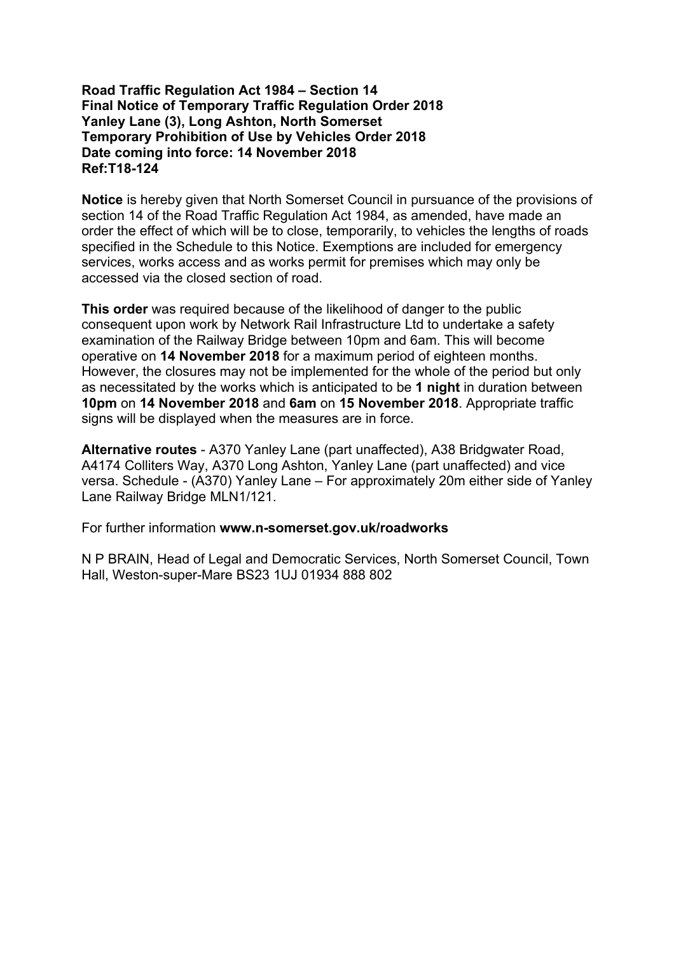## **Road Traffic Regulation Act 1984 – Section 14 Final Notice of Temporary Traffic Regulation Order 2018 Yanley Lane (3), Long Ashton, North Somerset Temporary Prohibition of Use by Vehicles Order 2018 Date coming into force: 14 November 2018 Ref:T18-124**

**Notice** is hereby given that North Somerset Council in pursuance of the provisions of section 14 of the Road Traffic Regulation Act 1984, as amended, have made an order the effect of which will be to close, temporarily, to vehicles the lengths of roads specified in the Schedule to this Notice. Exemptions are included for emergency services, works access and as works permit for premises which may only be accessed via the closed section of road.

**This order** was required because of the likelihood of danger to the public consequent upon work by Network Rail Infrastructure Ltd to undertake a safety examination of the Railway Bridge between 10pm and 6am. This will become operative on **14 November 2018** for a maximum period of eighteen months. However, the closures may not be implemented for the whole of the period but only as necessitated by the works which is anticipated to be **1 night** in duration between **10pm** on **14 November 2018** and **6am** on **15 November 2018**. Appropriate traffic signs will be displayed when the measures are in force.

**Alternative routes** - A370 Yanley Lane (part unaffected), A38 Bridgwater Road, A4174 Colliters Way, A370 Long Ashton, Yanley Lane (part unaffected) and vice versa. Schedule - (A370) Yanley Lane – For approximately 20m either side of Yanley Lane Railway Bridge MLN1/121.

For further information **www.n-somerset.gov.uk/roadworks**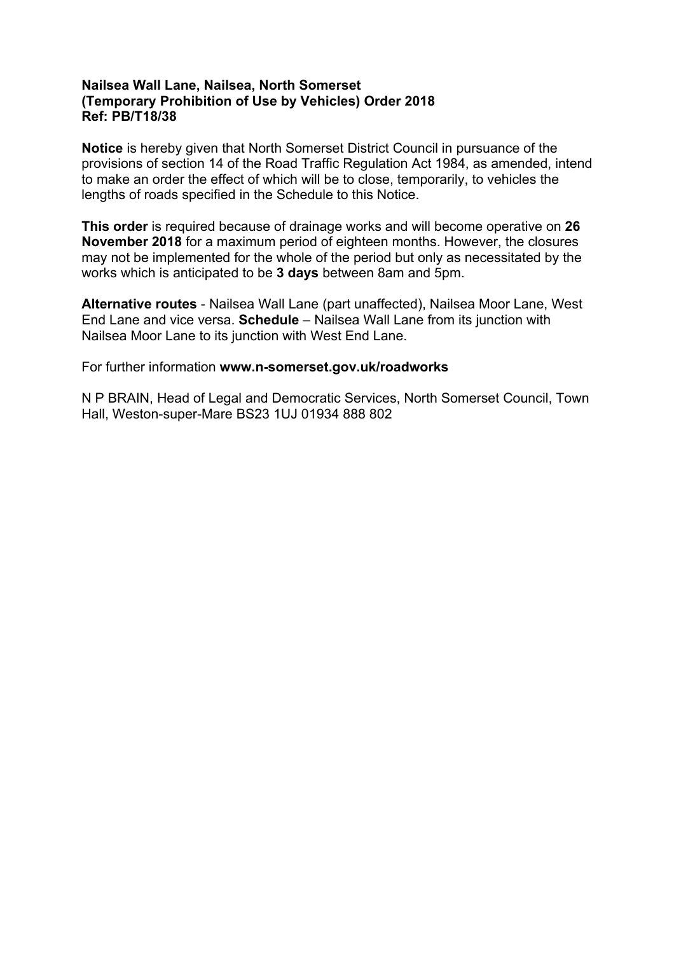# **Nailsea Wall Lane, Nailsea, North Somerset (Temporary Prohibition of Use by Vehicles) Order 2018 Ref: PB/T18/38**

**Notice** is hereby given that North Somerset District Council in pursuance of the provisions of section 14 of the Road Traffic Regulation Act 1984, as amended, intend to make an order the effect of which will be to close, temporarily, to vehicles the lengths of roads specified in the Schedule to this Notice.

**This order** is required because of drainage works and will become operative on **26 November 2018** for a maximum period of eighteen months. However, the closures may not be implemented for the whole of the period but only as necessitated by the works which is anticipated to be **3 days** between 8am and 5pm.

**Alternative routes** - Nailsea Wall Lane (part unaffected), Nailsea Moor Lane, West End Lane and vice versa. **Schedule** – Nailsea Wall Lane from its junction with Nailsea Moor Lane to its junction with West End Lane.

For further information **www.n-somerset.gov.uk/roadworks**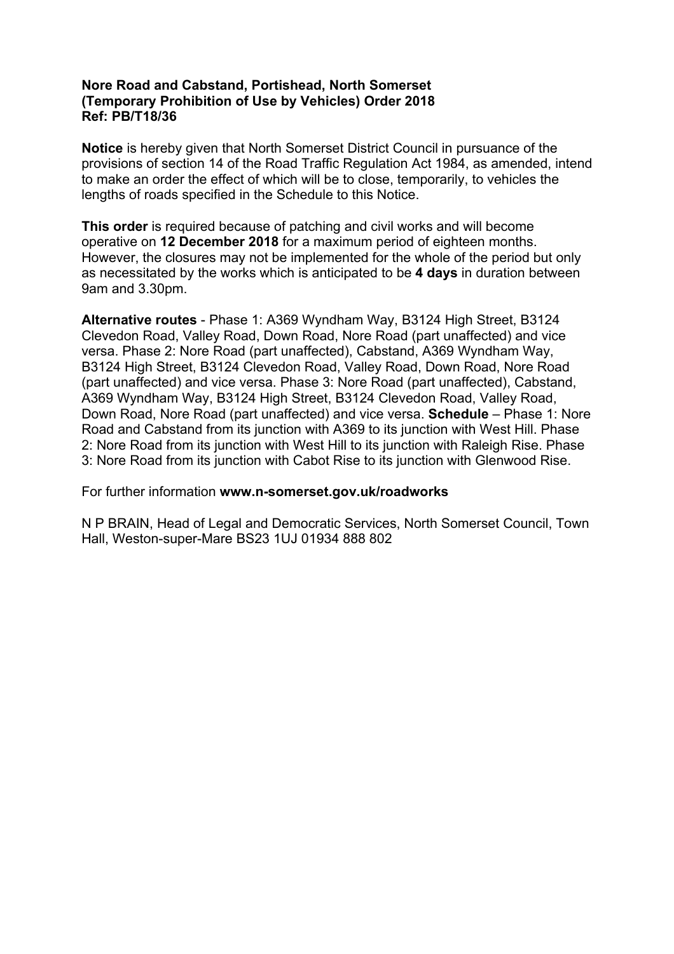# **Nore Road and Cabstand, Portishead, North Somerset (Temporary Prohibition of Use by Vehicles) Order 2018 Ref: PB/T18/36**

**Notice** is hereby given that North Somerset District Council in pursuance of the provisions of section 14 of the Road Traffic Regulation Act 1984, as amended, intend to make an order the effect of which will be to close, temporarily, to vehicles the lengths of roads specified in the Schedule to this Notice.

**This order** is required because of patching and civil works and will become operative on **12 December 2018** for a maximum period of eighteen months. However, the closures may not be implemented for the whole of the period but only as necessitated by the works which is anticipated to be **4 days** in duration between 9am and 3.30pm.

**Alternative routes** - Phase 1: A369 Wyndham Way, B3124 High Street, B3124 Clevedon Road, Valley Road, Down Road, Nore Road (part unaffected) and vice versa. Phase 2: Nore Road (part unaffected), Cabstand, A369 Wyndham Way, B3124 High Street, B3124 Clevedon Road, Valley Road, Down Road, Nore Road (part unaffected) and vice versa. Phase 3: Nore Road (part unaffected), Cabstand, A369 Wyndham Way, B3124 High Street, B3124 Clevedon Road, Valley Road, Down Road, Nore Road (part unaffected) and vice versa. **Schedule** – Phase 1: Nore Road and Cabstand from its junction with A369 to its junction with West Hill. Phase 2: Nore Road from its junction with West Hill to its junction with Raleigh Rise. Phase 3: Nore Road from its junction with Cabot Rise to its junction with Glenwood Rise.

For further information **www.n-somerset.gov.uk/roadworks**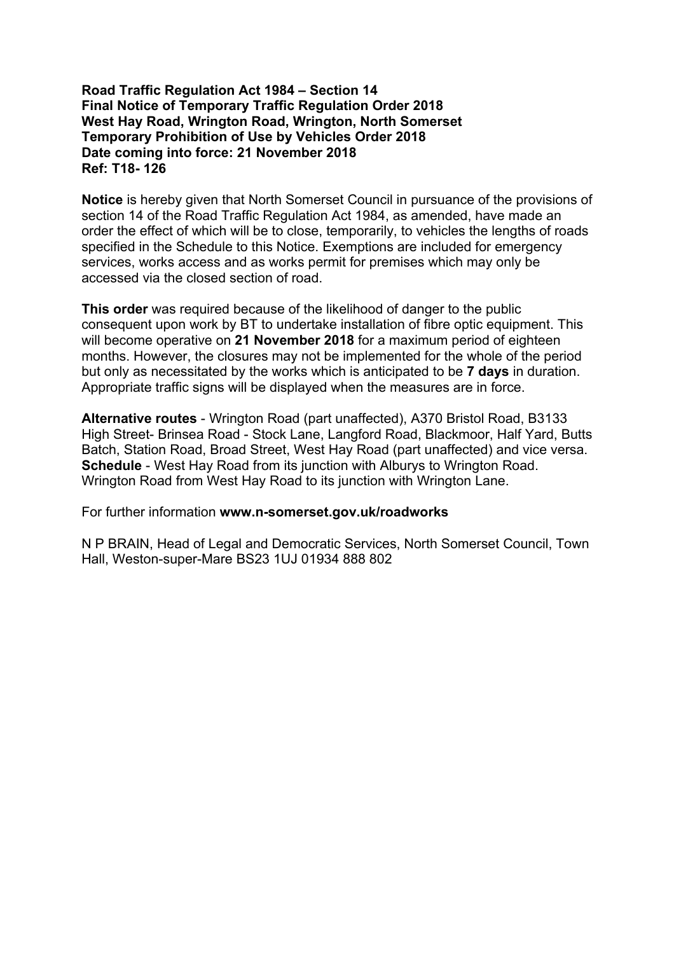## **Road Traffic Regulation Act 1984 – Section 14 Final Notice of Temporary Traffic Regulation Order 2018 West Hay Road, Wrington Road, Wrington, North Somerset Temporary Prohibition of Use by Vehicles Order 2018 Date coming into force: 21 November 2018 Ref: T18- 126**

**Notice** is hereby given that North Somerset Council in pursuance of the provisions of section 14 of the Road Traffic Regulation Act 1984, as amended, have made an order the effect of which will be to close, temporarily, to vehicles the lengths of roads specified in the Schedule to this Notice. Exemptions are included for emergency services, works access and as works permit for premises which may only be accessed via the closed section of road.

**This order** was required because of the likelihood of danger to the public consequent upon work by BT to undertake installation of fibre optic equipment. This will become operative on **21 November 2018** for a maximum period of eighteen months. However, the closures may not be implemented for the whole of the period but only as necessitated by the works which is anticipated to be **7 days** in duration. Appropriate traffic signs will be displayed when the measures are in force.

**Alternative routes** - Wrington Road (part unaffected), A370 Bristol Road, B3133 High Street- Brinsea Road - Stock Lane, Langford Road, Blackmoor, Half Yard, Butts Batch, Station Road, Broad Street, West Hay Road (part unaffected) and vice versa. **Schedule** - West Hay Road from its junction with Alburys to Wrington Road. Wrington Road from West Hay Road to its junction with Wrington Lane.

For further information **www.n-somerset.gov.uk/roadworks**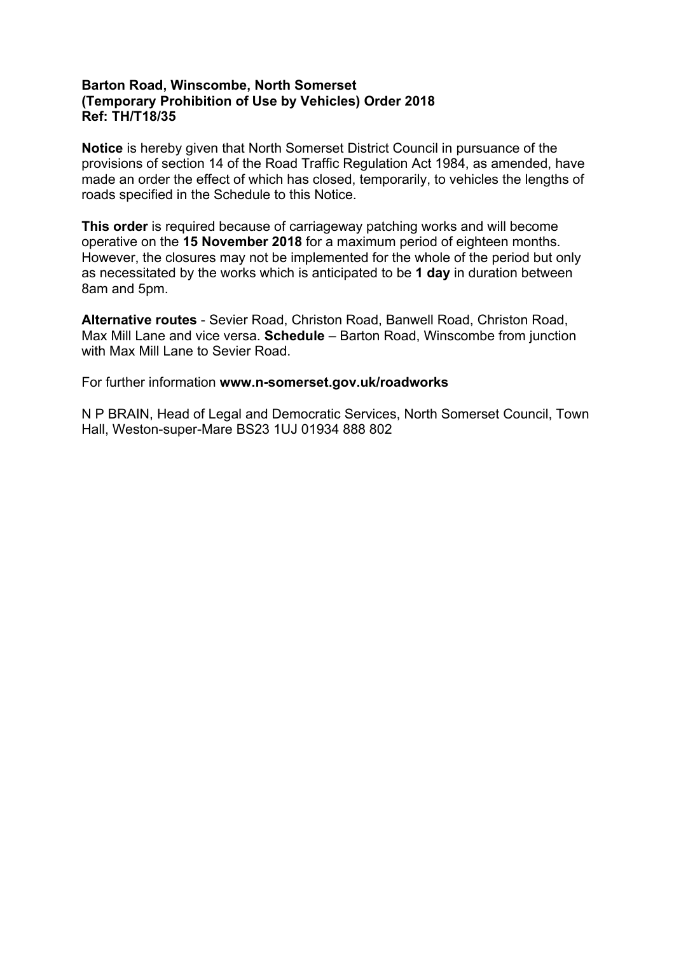# **Barton Road, Winscombe, North Somerset (Temporary Prohibition of Use by Vehicles) Order 2018 Ref: TH/T18/35**

**Notice** is hereby given that North Somerset District Council in pursuance of the provisions of section 14 of the Road Traffic Regulation Act 1984, as amended, have made an order the effect of which has closed, temporarily, to vehicles the lengths of roads specified in the Schedule to this Notice.

**This order** is required because of carriageway patching works and will become operative on the **15 November 2018** for a maximum period of eighteen months. However, the closures may not be implemented for the whole of the period but only as necessitated by the works which is anticipated to be **1 day** in duration between 8am and 5pm.

**Alternative routes** - Sevier Road, Christon Road, Banwell Road, Christon Road, Max Mill Lane and vice versa. **Schedule** – Barton Road, Winscombe from junction with Max Mill Lane to Sevier Road.

For further information **www.n-somerset.gov.uk/roadworks**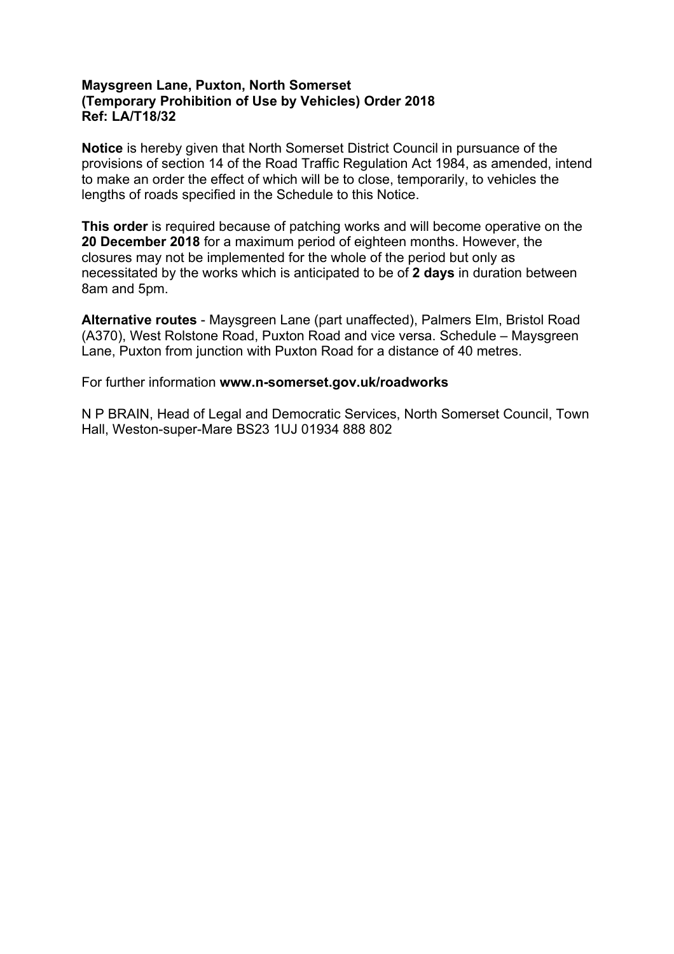# **Maysgreen Lane, Puxton, North Somerset (Temporary Prohibition of Use by Vehicles) Order 2018 Ref: LA/T18/32**

**Notice** is hereby given that North Somerset District Council in pursuance of the provisions of section 14 of the Road Traffic Regulation Act 1984, as amended, intend to make an order the effect of which will be to close, temporarily, to vehicles the lengths of roads specified in the Schedule to this Notice.

**This order** is required because of patching works and will become operative on the **20 December 2018** for a maximum period of eighteen months. However, the closures may not be implemented for the whole of the period but only as necessitated by the works which is anticipated to be of **2 days** in duration between 8am and 5pm.

**Alternative routes** - Maysgreen Lane (part unaffected), Palmers Elm, Bristol Road (A370), West Rolstone Road, Puxton Road and vice versa. Schedule – Maysgreen Lane, Puxton from junction with Puxton Road for a distance of 40 metres.

For further information **www.n-somerset.gov.uk/roadworks**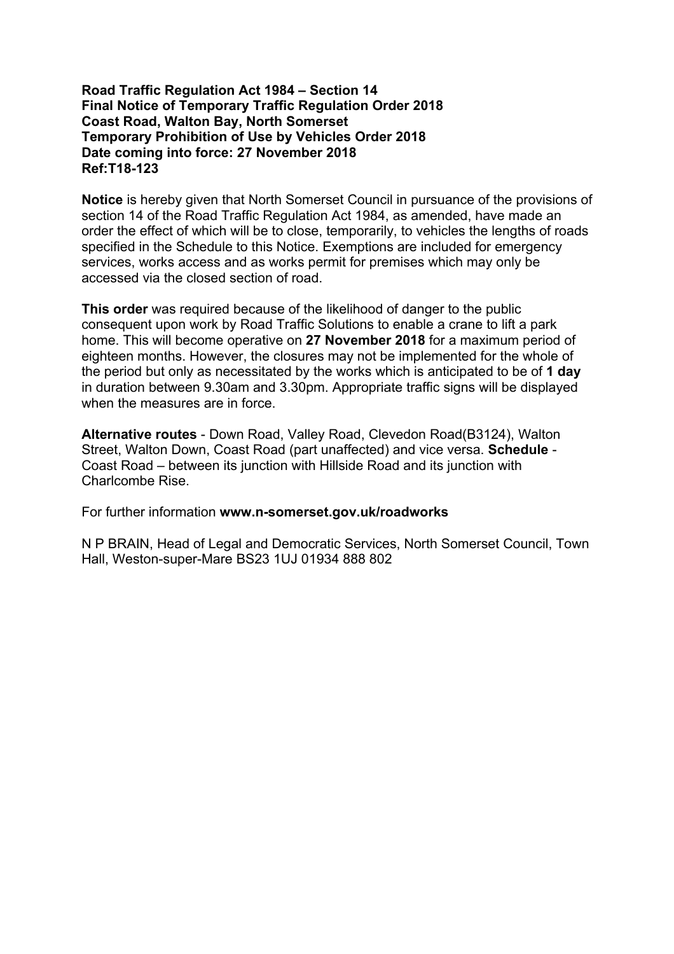## **Road Traffic Regulation Act 1984 – Section 14 Final Notice of Temporary Traffic Regulation Order 2018 Coast Road, Walton Bay, North Somerset Temporary Prohibition of Use by Vehicles Order 2018 Date coming into force: 27 November 2018 Ref:T18-123**

**Notice** is hereby given that North Somerset Council in pursuance of the provisions of section 14 of the Road Traffic Regulation Act 1984, as amended, have made an order the effect of which will be to close, temporarily, to vehicles the lengths of roads specified in the Schedule to this Notice. Exemptions are included for emergency services, works access and as works permit for premises which may only be accessed via the closed section of road.

**This order** was required because of the likelihood of danger to the public consequent upon work by Road Traffic Solutions to enable a crane to lift a park home. This will become operative on **27 November 2018** for a maximum period of eighteen months. However, the closures may not be implemented for the whole of the period but only as necessitated by the works which is anticipated to be of **1 day** in duration between 9.30am and 3.30pm. Appropriate traffic signs will be displayed when the measures are in force.

**Alternative routes** - Down Road, Valley Road, Clevedon Road(B3124), Walton Street, Walton Down, Coast Road (part unaffected) and vice versa. **Schedule** - Coast Road – between its junction with Hillside Road and its junction with Charlcombe Rise.

For further information **www.n-somerset.gov.uk/roadworks**